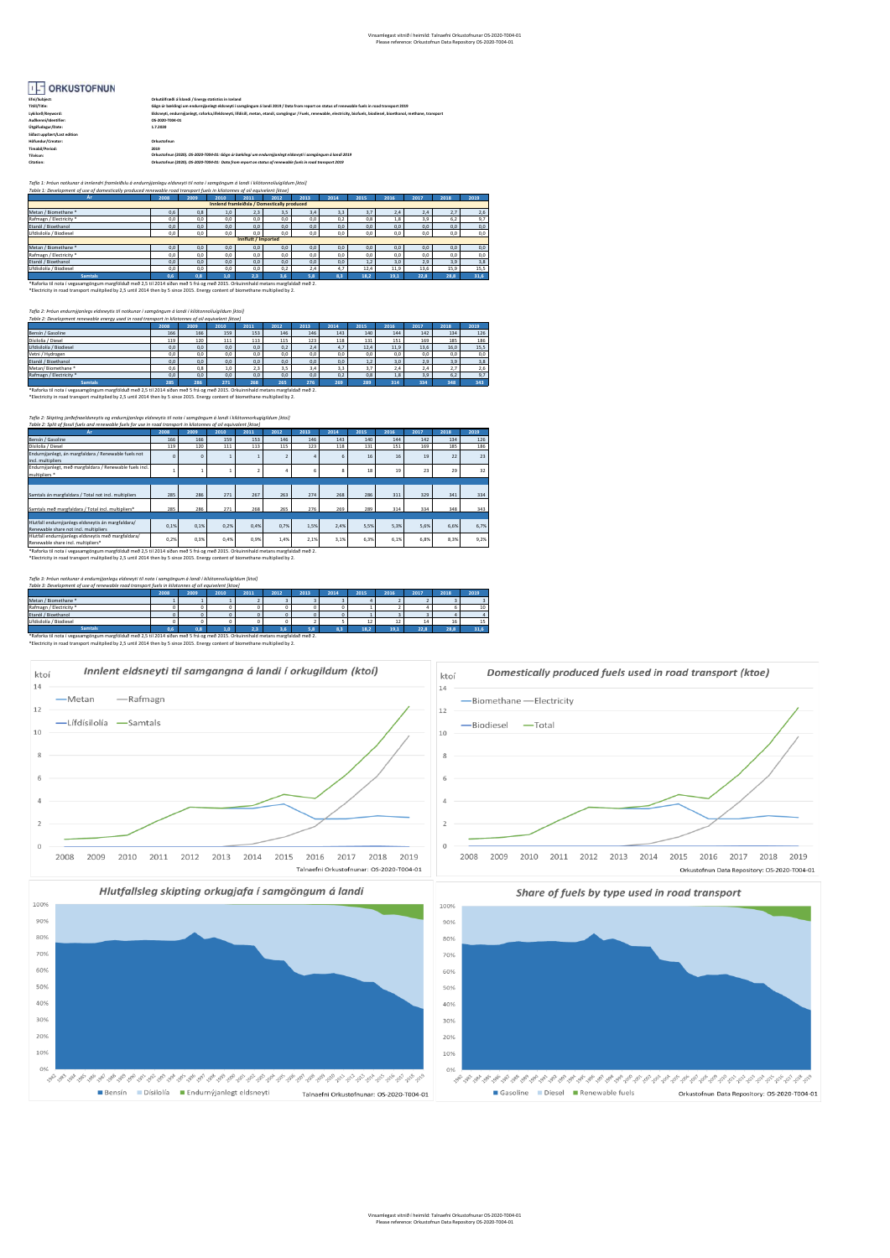## IF ORKUSTOFNUN

| Efni/Subject:               | Orkutölfræði á Íslandi / Energy statistics in Iceland                                                                                                                     |
|-----------------------------|---------------------------------------------------------------------------------------------------------------------------------------------------------------------------|
| Titill/Title:               | Gözn úr bæklingi um endurnýlanlegt eldsnevti í samgöngum á landi 2019 / Data from report on status of renewable fuels in road transport 2019                              |
| Lykiloro/Keyword:           | Eldsneyti, endurnýjanlest, raforka.lifeldsneyti, lifdisill, metan, etanól, samgöngur / Fuels, renewable, electricity, biofuels, biodiesel, bioethanol, methane, transport |
| Auðkenni/Identifier:        | OS-2020-T004-01                                                                                                                                                           |
| Úteáfudagur/Date:           | 1.7.2020                                                                                                                                                                  |
| Sidast uppfært/Last edition |                                                                                                                                                                           |
| Höfundur/Creator:           | Orkustofnun                                                                                                                                                               |
| Timabil/Period:             | 2019                                                                                                                                                                      |
| Tilvísun:                   | Orkustofnun (2020), OS-2020-T004-01; Gögn úr bæklingi um endurnýjanlegt eldsneyti í samaöngum á landi 2019                                                                |
| Citation:                   | Orkustofnun (2020), OS-2020-T004-01: Data from report on status of renewable fuels in road transport 2019                                                                 |
|                             |                                                                                                                                                                           |

*Tafla 1: Þróun notkunar á innlendri framleiðslu á endurnýjanlegu eldsneyti til nota í samgöngum á landi í kílótonnolíuígildum [ktoí] Table 1: Development of use of domestically produced renewable road transport fuels in kilotonnes of oil equivelent [ktoe]*

| Ar                                          | 2008 | 2009 | 2010          | 2011 | 2012 | 2013 | 2014 | 2015 | 2016 | 2017 | 2018 | 2019 |
|---------------------------------------------|------|------|---------------|------|------|------|------|------|------|------|------|------|
| Innlend framleiðsla / Domestically produced |      |      |               |      |      |      |      |      |      |      |      |      |
| Metan / Biomethane *                        | 0.6  | 0,8  | 1.0           | 2.3  | 3,5  | 3.4  | 3.3  | 3.7  | 2.4  | 2.4  | 2.7  | 2,6  |
| Rafmagn / Electricity *                     | 0.0  | 0.0  | 0.0           | 0.0  | 0.0  | 0.0  | 0.2  | 0.8  | 1,8  | 3.9  | 6.2  | 9,7  |
| Etanól / Bioethanol                         | 0.0  | 0,0  | 0.0           | 0.0  | 0.0  | 0.0  | 0.0  | 0.0  | 0.0  | 0.0  | 0.0  | 0,0  |
| Lífdísilolía / Biodiesel                    | 0,0  | 0,0  | 0.0           | 0.0  | 0.0  | 0.0  | 0.0  | 0.0  | 0.0  | 0.0  | 0,0  | 0,0  |
| Innflutt / Imported                         |      |      |               |      |      |      |      |      |      |      |      |      |
| Metan / Biomethane *                        | 0.0  | 0.0  | 0.0           | 0.0  | 0.0  | 0.0  | 0.0  | 0.0  | 0.0  | 0.0  | 0.0  | 0,0  |
| Rafmagn / Electricity *                     | 0.0  | 0,0  | 0.0           | 0.0  | 0.0  | 0.0  | 0.0  | 0.0  | 0.0  | 0.0  | 0.0  | 0,0  |
| Etanól / Bioethanol                         | 0.0  | 0,0  | 0.0           | 0.0  | 0.0  | 0.0  | 0.0  | 1.2  | 3.0  | 2.9  | 3.9  | 3,8  |
| Lífdísilolía / Biodiesel                    | 0.0  | 0.0  | 0.0           | 0.0  | 0.2  | 2.4  | 4.7  | 12.4 | 11.9 | 13.6 | 15.9 | 15,5 |
| <b>Samtals</b>                              | 0.6  | 0.8  | $1.0^{\circ}$ | 23   | 3.6  | 5.8  | 83   | 18.2 | 19.1 | 22.8 | 28.8 | 31.6 |
|                                             |      |      |               |      |      |      |      |      |      |      |      |      |

\*Raforka til nota í vegasamgöngum margfölduð með 2,5 til 2014 síðan með 5 frá og með 2015. Orkuinnihald metans margfaldað með 2.<br>\*Electricity in road transport mulitplied by 2,5 until 2014 then by 5 since 2015. Energy cont

*Tafla 2: Þróun endurnýjanlegs eldsneytis til notkunar í samgöngum á landi í kílótonnolíuígildum [ktoí] Table 2: Development renewable energy used in road transport in kilotonnes of oil equivelent [ktoe]*

| .                                                                                                                                | 2008 | 2009 | 2010 | 2011 | 2012 | 2013 | 2014 | 2015 | 2016 | 2017 | 2018 | 2019 |
|----------------------------------------------------------------------------------------------------------------------------------|------|------|------|------|------|------|------|------|------|------|------|------|
| Bensín / Gasoline                                                                                                                | 166  | 166  | 159  | 153  | 146  | 146  | 143  | 140  | 144  | 142  | 134  | 126  |
| Disilolía / Diesel                                                                                                               | 119  | 120  | 111  | 113  | 115  | 123  | 118  | 131  | 151  | 169  | 185  | 186  |
| Lífdísilolía / Biodiesel                                                                                                         | 0.0  | 0,0  | 0.0  | 0.0  | 0,2  | 2.4  | 4.7  | 12.4 | 11.9 | 13.6 | 16.0 | 15,5 |
| Vetni / Hydrogen                                                                                                                 | 0.0  | 0.0  | 0.0  | 0.0  | 0.0  | 0.0  | 0.0  | 0.0  | 0.0  | 0.0  | 0.0  | 0.0  |
| Etanól / Bioethanol                                                                                                              | 0.0  | 0,0  | 0.0  | 0.0  | 0.0  | 0.0  | 0.0  | 1,2  | 3.0  | 2.9  | 3.9  | 3,8  |
| Metan/Biomethane*                                                                                                                | 0.6  | 0.8  | 1.0  | 2.3  | 3.5  | 3.4  | 3.3  | 3.7  | 2.4  | 2.4  | 2.7  | 2,6  |
| Rafmagn / Electricity *                                                                                                          | 0.0  | 0.0  | 0.0  | 0.0  | 0.0  | 0.0  | 0.2  | 0,8  | 1,8  | 3.9  | 6.2  | 9,7  |
| <b>Samtals</b>                                                                                                                   | 285  | 286  | 271  | 268  | 265  | 276  | 269  | 289  | 314  | 334  | 348  | 343  |
| *Raforka til nota í vegasamgöngum margfölduð með 2,5 til 2014 síðan með 5 frá og með 2015. Orkuinnihald metans margfaldað með 2. |      |      |      |      |      |      |      |      |      |      |      |      |
| *Electricity in road transport mulitplied by 2,5 until 2014 then by 5 since 2015. Energy content of biomethane multiplied by 2.  |      |      |      |      |      |      |      |      |      |      |      |      |

| Tafla 2: Skipting jarðefnaeldsneytis og endurnýjanlegs eldsneytis til nota í samgöngum á landi í kílótonnorkugígildum [ktoí] |          |              |      |      |      |      |      |      |      |      |      |      |
|------------------------------------------------------------------------------------------------------------------------------|----------|--------------|------|------|------|------|------|------|------|------|------|------|
| Table 2: Split of fossil fuels and renewable fuels for use in road transport in kilotonnes of oil equivalent (ktoe)          |          |              |      |      |      |      |      |      |      |      |      |      |
| Ar.                                                                                                                          | 2008     | 2009         | 2010 | 2011 | 2012 | 2013 | 2014 | 2015 | 2016 | 2017 | 2018 | 2019 |
| Bensín / Gasoline                                                                                                            | 166      | 166          | 159  | 153  | 146  | 146  | 143  | 140  | 144  | 142  | 134  | 126  |
| Dísilolía / Diesel                                                                                                           | 119      | 120          | 111  | 113  | 115  | 123  | 118  | 131  | 151  | 169  | 185  | 186  |
| Endurnýjanlegt, án margfaldara / Renewable fuels not<br>incl. multipliers                                                    | $\Omega$ | $\mathbf{0}$ |      |      | 2    |      | 6.   | 16   | 16   | 19   | 22   | 23   |
| Endurnýjanlegt, með margfaldara / Renewable fuels incl.<br>multipliers *                                                     |          |              |      |      | 4    | 6.   | R    | 18   | 19   | 23   | 29   | 32   |
|                                                                                                                              |          |              |      |      |      |      |      |      |      |      |      |      |
| Samtals án margfaldara / Total not incl. multipliers                                                                         | 285      | 286          | 271  | 267  | 263  | 274  | 268  | 286  | 311  | 329  | 341  | 334  |
| Samtals með margfaldara / Total incl. multipliers*                                                                           | 285      | 286          | 271  | 268  | 265  | 276  | 269  | 289  | 314  | 334  | 348  | 343  |
|                                                                                                                              |          |              |      |      |      |      |      |      |      |      |      |      |
| Hlutfall endurnýjanlegs eldsneytis án margfaldara/<br>Renewable share not incl. multipliers                                  | 0.1%     | 0.1%         | 0.2% | 0.4% | 0.7% | 1.5% | 2.4% | 5.5% | 5.3% | 5.6% | 6.6% | 6.7% |
| Hlutfall endurnýjanlegs eldsneytis með margfaldara/<br>Renewable share incl. multipliers*                                    | 0,2%     | 0.3%         | 0,4% | 0.9% | 1.4% | 2,1% | 3.1% | 6.3% | 6.1% | 6.8% | 8.3% | 9.2% |

\*Raforka til nota í vegasamgöngum margfölduð með 2,5 til 2014 síðan með 5 frá og með 2015. Orkuinnihald metans margfaldað með 2.<br>\*Electrícity in road transport mulitplied by 2,5 until 2014 then by 5 since 2015. Energy cont

Bensín Dísilolía Bendurnýjanlegt eldsneyti

*noliuigildum [ktoí]*<br><u>ent [</u>ktoe]

| Table 3: Development of use of renewable road transport fuels in kilotonnes of oil equivelent (ktoe)                             |      |      |      |      |      |      |      |      |      |      |      |      |
|----------------------------------------------------------------------------------------------------------------------------------|------|------|------|------|------|------|------|------|------|------|------|------|
|                                                                                                                                  | 2008 | 2009 | 2010 | 2011 | 2012 | 2013 | 2014 | 2015 | 2016 | 2017 | 2018 | 2019 |
| Metan / Biomethane *                                                                                                             |      |      |      |      |      |      |      |      |      |      |      |      |
| Rafmagn / Electricity *                                                                                                          |      |      |      |      |      |      |      |      |      |      |      | 10   |
| Etanól / Bioethanol                                                                                                              |      |      |      |      |      |      |      |      |      |      |      |      |
| Lifdisilolía / Biodiesel                                                                                                         |      |      |      |      |      |      |      |      |      | 14   | 16   | 15   |
| <b>Samtak</b>                                                                                                                    | 0.6  | 0.8  | 1.0  |      | 3.6  |      |      | 18.2 | 19.1 | 22.8 | 28.8 | 31.6 |
| *Raforka til nota í vegasamgöngum margfölduð með 2.5 til 2014 síðan með 5 frá og með 2015. Orkuinnihald metans margfaldað með 2. |      |      |      |      |      |      |      |      |      |      |      |      |
| *Electricity in road transport mulitplied by 2.5 until 2014 then by 5 since 2015. Energy content of biomethane multiplied by 2.  |      |      |      |      |      |      |      |      |      |      |      |      |



Talnaefni Orkustofnunar: OS-2020-T004-01 Gasoline Diesel Renewable fuels Orkustofnun Data Repository: OS-2020-T004-01

Vinsamlegast vitnið í heimild: Talnaefni Orkustofnunar OS-2020-T004-01 Please reference: Orkustofnun Data Repository OS-2020-T004-01